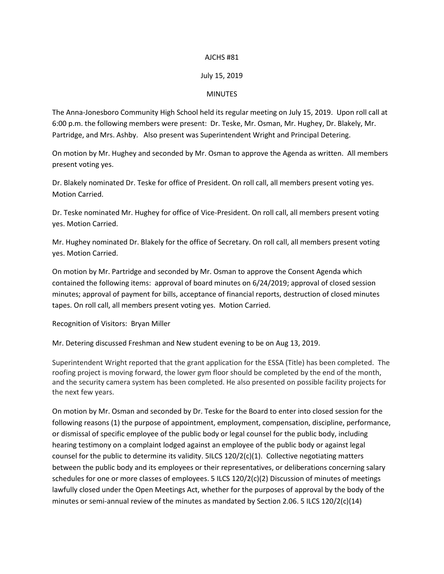## AJCHS #81

## July 15, 2019

## **MINUTES**

The Anna-Jonesboro Community High School held its regular meeting on July 15, 2019. Upon roll call at 6:00 p.m. the following members were present: Dr. Teske, Mr. Osman, Mr. Hughey, Dr. Blakely, Mr. Partridge, and Mrs. Ashby. Also present was Superintendent Wright and Principal Detering.

On motion by Mr. Hughey and seconded by Mr. Osman to approve the Agenda as written. All members present voting yes.

Dr. Blakely nominated Dr. Teske for office of President. On roll call, all members present voting yes. Motion Carried.

Dr. Teske nominated Mr. Hughey for office of Vice-President. On roll call, all members present voting yes. Motion Carried.

Mr. Hughey nominated Dr. Blakely for the office of Secretary. On roll call, all members present voting yes. Motion Carried.

On motion by Mr. Partridge and seconded by Mr. Osman to approve the Consent Agenda which contained the following items: approval of board minutes on 6/24/2019; approval of closed session minutes; approval of payment for bills, acceptance of financial reports, destruction of closed minutes tapes. On roll call, all members present voting yes. Motion Carried.

Recognition of Visitors: Bryan Miller

Mr. Detering discussed Freshman and New student evening to be on Aug 13, 2019.

Superintendent Wright reported that the grant application for the ESSA (Title) has been completed. The roofing project is moving forward, the lower gym floor should be completed by the end of the month, and the security camera system has been completed. He also presented on possible facility projects for the next few years.

On motion by Mr. Osman and seconded by Dr. Teske for the Board to enter into closed session for the following reasons (1) the purpose of appointment, employment, compensation, discipline, performance, or dismissal of specific employee of the public body or legal counsel for the public body, including hearing testimony on a complaint lodged against an employee of the public body or against legal counsel for the public to determine its validity.  $5$ ILCS  $120/2(c)(1)$ . Collective negotiating matters between the public body and its employees or their representatives, or deliberations concerning salary schedules for one or more classes of employees. 5 ILCS 120/2(c)(2) Discussion of minutes of meetings lawfully closed under the Open Meetings Act, whether for the purposes of approval by the body of the minutes or semi-annual review of the minutes as mandated by Section 2.06. 5 ILCS 120/2(c)(14)